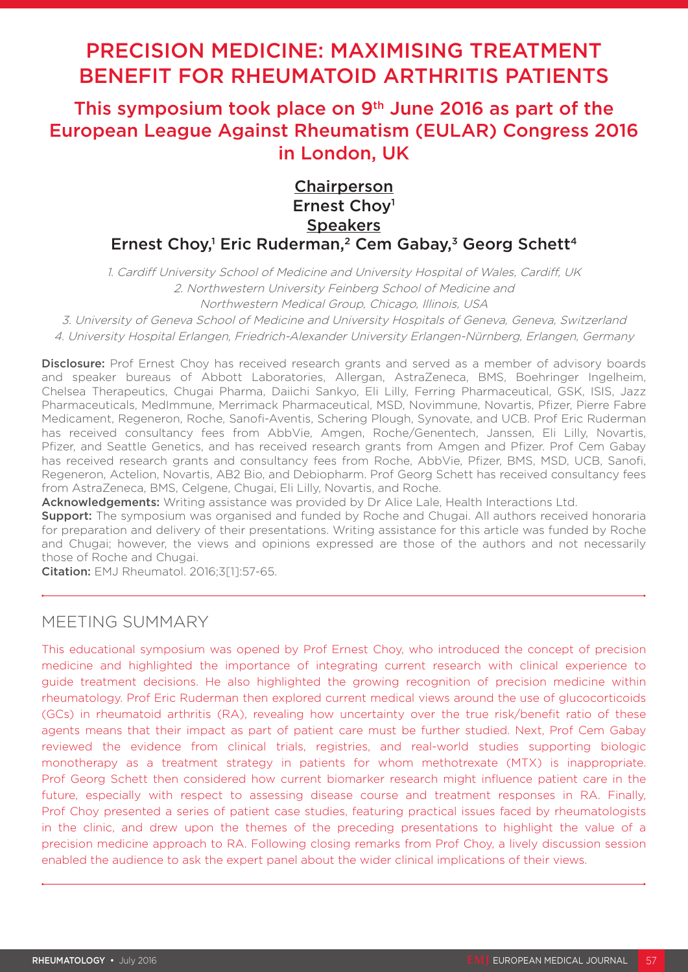# PRECISION MEDICINE: MAXIMISING TREATMENT BENEFIT FOR RHEUMATOID ARTHRITIS PATIENTS

# This symposium took place on 9th June 2016 as part of the European League Against Rheumatism (EULAR) Congress 2016 in London, UK

## **Chairperson** Ernest Chov<sup>1</sup> **Speakers** Ernest Choy,<sup>1</sup> Eric Ruderman,<sup>2</sup> Cem Gabay,<sup>3</sup> Georg Schett<sup>4</sup>

1. Cardiff University School of Medicine and University Hospital of Wales, Cardiff, UK 2. Northwestern University Feinberg School of Medicine and Northwestern Medical Group, Chicago, Illinois, USA

3. University of Geneva School of Medicine and University Hospitals of Geneva, Geneva, Switzerland

4. University Hospital Erlangen, Friedrich-Alexander University Erlangen-Nürnberg, Erlangen, Germany

Disclosure: Prof Ernest Choy has received research grants and served as a member of advisory boards and speaker bureaus of Abbott Laboratories, Allergan, AstraZeneca, BMS, Boehringer Ingelheim, Chelsea Therapeutics, Chugai Pharma, Daiichi Sankyo, Eli Lilly, Ferring Pharmaceutical, GSK, ISIS, Jazz Pharmaceuticals, MedImmune, Merrimack Pharmaceutical, MSD, Novimmune, Novartis, Pfizer, Pierre Fabre Medicament, Regeneron, Roche, Sanofi-Aventis, Schering Plough, Synovate, and UCB. Prof Eric Ruderman has received consultancy fees from AbbVie, Amgen, Roche/Genentech, Janssen, Eli Lilly, Novartis, Pfizer, and Seattle Genetics, and has received research grants from Amgen and Pfizer. Prof Cem Gabay has received research grants and consultancy fees from Roche, AbbVie, Pfizer, BMS, MSD, UCB, Sanofi, Regeneron, Actelion, Novartis, AB2 Bio, and Debiopharm. Prof Georg Schett has received consultancy fees from AstraZeneca, BMS, Celgene, Chugai, Eli Lilly, Novartis, and Roche.

Acknowledgements: Writing assistance was provided by Dr Alice Lale, Health Interactions Ltd.

Support: The symposium was organised and funded by Roche and Chugai. All authors received honoraria for preparation and delivery of their presentations. Writing assistance for this article was funded by Roche and Chugai; however, the views and opinions expressed are those of the authors and not necessarily those of Roche and Chugai.

Citation: EMJ Rheumatol. 2016;3[1]:57-65.

### MEETING SUMMARY

This educational symposium was opened by Prof Ernest Choy, who introduced the concept of precision medicine and highlighted the importance of integrating current research with clinical experience to guide treatment decisions. He also highlighted the growing recognition of precision medicine within rheumatology. Prof Eric Ruderman then explored current medical views around the use of glucocorticoids (GCs) in rheumatoid arthritis (RA), revealing how uncertainty over the true risk/benefit ratio of these agents means that their impact as part of patient care must be further studied. Next, Prof Cem Gabay reviewed the evidence from clinical trials, registries, and real-world studies supporting biologic monotherapy as a treatment strategy in patients for whom methotrexate (MTX) is inappropriate. Prof Georg Schett then considered how current biomarker research might influence patient care in the future, especially with respect to assessing disease course and treatment responses in RA. Finally, Prof Choy presented a series of patient case studies, featuring practical issues faced by rheumatologists in the clinic, and drew upon the themes of the preceding presentations to highlight the value of a precision medicine approach to RA. Following closing remarks from Prof Choy, a lively discussion session enabled the audience to ask the expert panel about the wider clinical implications of their views.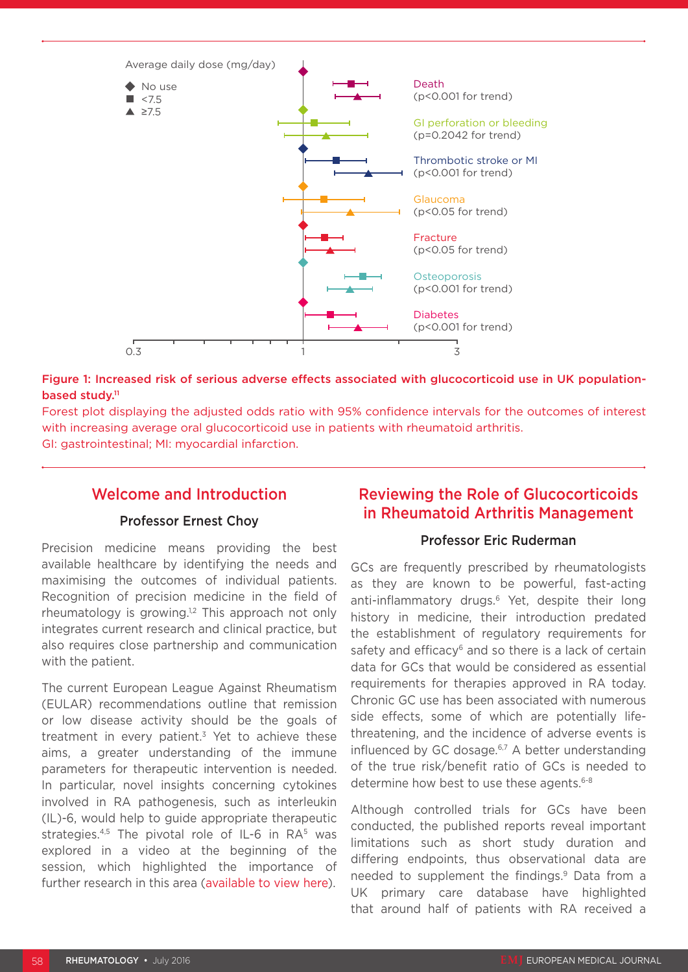

#### Figure 1: Increased risk of serious adverse effects associated with glucocorticoid use in UK populationbased study.<sup>11</sup>

Forest plot displaying the adjusted odds ratio with 95% confidence intervals for the outcomes of interest with increasing average oral glucocorticoid use in patients with rheumatoid arthritis. GI: gastrointestinal; MI: myocardial infarction.

### Welcome and Introduction

#### Professor Ernest Choy

Precision medicine means providing the best available healthcare by identifying the needs and maximising the outcomes of individual patients. Recognition of precision medicine in the field of rheumatology is growing.1,2 This approach not only integrates current research and clinical practice, but also requires close partnership and communication with the patient.

The current European League Against Rheumatism (EULAR) recommendations outline that remission or low disease activity should be the goals of treatment in every patient.<sup>3</sup> Yet to achieve these aims, a greater understanding of the immune parameters for therapeutic intervention is needed. In particular, novel insights concerning cytokines involved in RA pathogenesis, such as interleukin (IL)-6, would help to guide appropriate therapeutic strategies.<sup>4,5</sup> The pivotal role of IL-6 in RA<sup>5</sup> was explored in a video at the beginning of the session, which highlighted the importance of further research in this area [\(available to view here\)](http://emjreviews.com/videos/the-role-of-il-6-in-autoimmune-disease/).

### Reviewing the Role of Glucocorticoids in Rheumatoid Arthritis Management

### Professor Eric Ruderman

GCs are frequently prescribed by rheumatologists as they are known to be powerful, fast-acting anti-inflammatory drugs.<sup>6</sup> Yet, despite their long history in medicine, their introduction predated the establishment of regulatory requirements for safety and efficacy<sup>6</sup> and so there is a lack of certain data for GCs that would be considered as essential requirements for therapies approved in RA today. Chronic GC use has been associated with numerous side effects, some of which are potentially lifethreatening, and the incidence of adverse events is influenced by GC dosage. $6,7$  A better understanding of the true risk/benefit ratio of GCs is needed to determine how best to use these agents.<sup>6-8</sup>

Although controlled trials for GCs have been conducted, the published reports reveal important limitations such as short study duration and differing endpoints, thus observational data are needed to supplement the findings.9 Data from a UK primary care database have highlighted that around half of patients with RA received a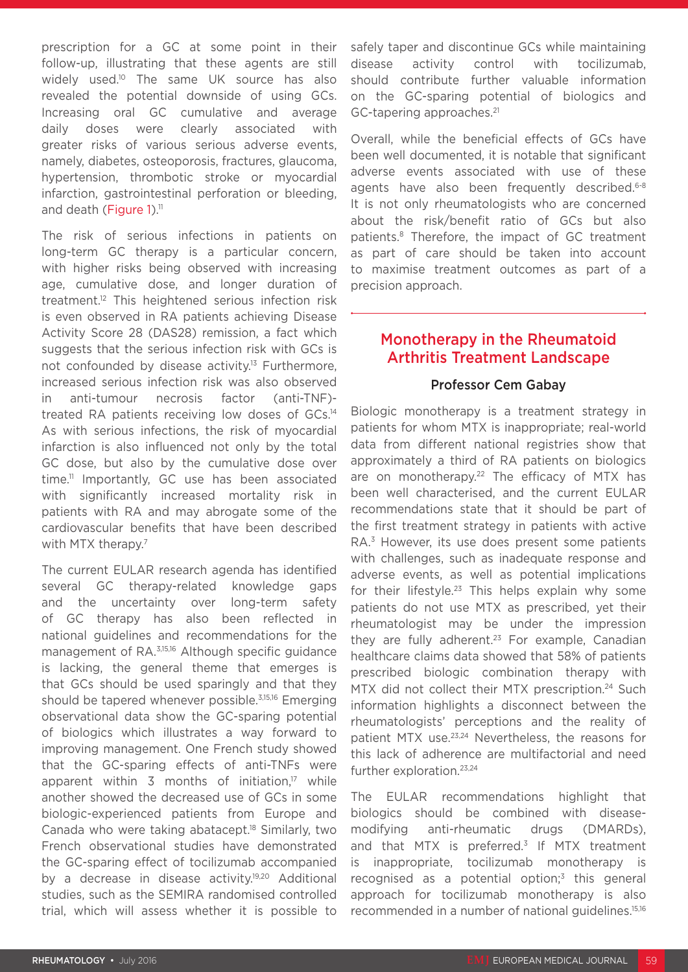prescription for a GC at some point in their follow-up, illustrating that these agents are still widely used.10 The same UK source has also revealed the potential downside of using GCs. Increasing oral GC cumulative and average daily doses were clearly associated with greater risks of various serious adverse events, namely, diabetes, osteoporosis, fractures, glaucoma, hypertension, thrombotic stroke or myocardial infarction, gastrointestinal perforation or bleeding, and death (Figure 1).<sup>11</sup>

The risk of serious infections in patients on long-term GC therapy is a particular concern, with higher risks being observed with increasing age, cumulative dose, and longer duration of treatment.12 This heightened serious infection risk is even observed in RA patients achieving Disease Activity Score 28 (DAS28) remission, a fact which suggests that the serious infection risk with GCs is not confounded by disease activity.<sup>13</sup> Furthermore, increased serious infection risk was also observed in anti-tumour necrosis factor (anti-TNF) treated RA patients receiving low doses of GCs.14 As with serious infections, the risk of myocardial infarction is also influenced not only by the total GC dose, but also by the cumulative dose over time.<sup>11</sup> Importantly, GC use has been associated with significantly increased mortality risk in patients with RA and may abrogate some of the cardiovascular benefits that have been described with MTX therapy.<sup>7</sup>

The current EULAR research agenda has identified several GC therapy-related knowledge gaps and the uncertainty over long-term safety of GC therapy has also been reflected in national guidelines and recommendations for the management of RA.3,15,16 Although specific guidance is lacking, the general theme that emerges is that GCs should be used sparingly and that they should be tapered whenever possible.<sup>3,15,16</sup> Emerging observational data show the GC-sparing potential of biologics which illustrates a way forward to improving management. One French study showed that the GC-sparing effects of anti-TNFs were apparent within 3 months of initiation, $17$  while another showed the decreased use of GCs in some biologic-experienced patients from Europe and Canada who were taking abatacept.18 Similarly, two French observational studies have demonstrated the GC-sparing effect of tocilizumab accompanied by a decrease in disease activity.<sup>19,20</sup> Additional studies, such as the SEMIRA randomised controlled trial, which will assess whether it is possible to

safely taper and discontinue GCs while maintaining disease activity control with tocilizumab, should contribute further valuable information on the GC-sparing potential of biologics and GC-tapering approaches.21

Overall, while the beneficial effects of GCs have been well documented, it is notable that significant adverse events associated with use of these agents have also been frequently described.<sup>6-8</sup> It is not only rheumatologists who are concerned about the risk/benefit ratio of GCs but also patients.8 Therefore, the impact of GC treatment as part of care should be taken into account to maximise treatment outcomes as part of a precision approach.

### Monotherapy in the Rheumatoid Arthritis Treatment Landscape

### Professor Cem Gabay

Biologic monotherapy is a treatment strategy in patients for whom MTX is inappropriate; real-world data from different national registries show that approximately a third of RA patients on biologics are on monotherapy.<sup>22</sup> The efficacy of MTX has been well characterised, and the current EULAR recommendations state that it should be part of the first treatment strategy in patients with active RA.<sup>3</sup> However, its use does present some patients with challenges, such as inadequate response and adverse events, as well as potential implications for their lifestyle.<sup>23</sup> This helps explain why some patients do not use MTX as prescribed, yet their rheumatologist may be under the impression they are fully adherent.<sup>23</sup> For example, Canadian healthcare claims data showed that 58% of patients prescribed biologic combination therapy with MTX did not collect their MTX prescription.<sup>24</sup> Such information highlights a disconnect between the rheumatologists' perceptions and the reality of patient MTX use.<sup>23,24</sup> Nevertheless, the reasons for this lack of adherence are multifactorial and need further exploration.<sup>23,24</sup>

The EULAR recommendations highlight that biologics should be combined with diseasemodifying anti-rheumatic drugs (DMARDs), and that MTX is preferred.<sup>3</sup> If MTX treatment is inappropriate, tocilizumab monotherapy is recognised as a potential option; $3$  this general approach for tocilizumab monotherapy is also recommended in a number of national guidelines.15,16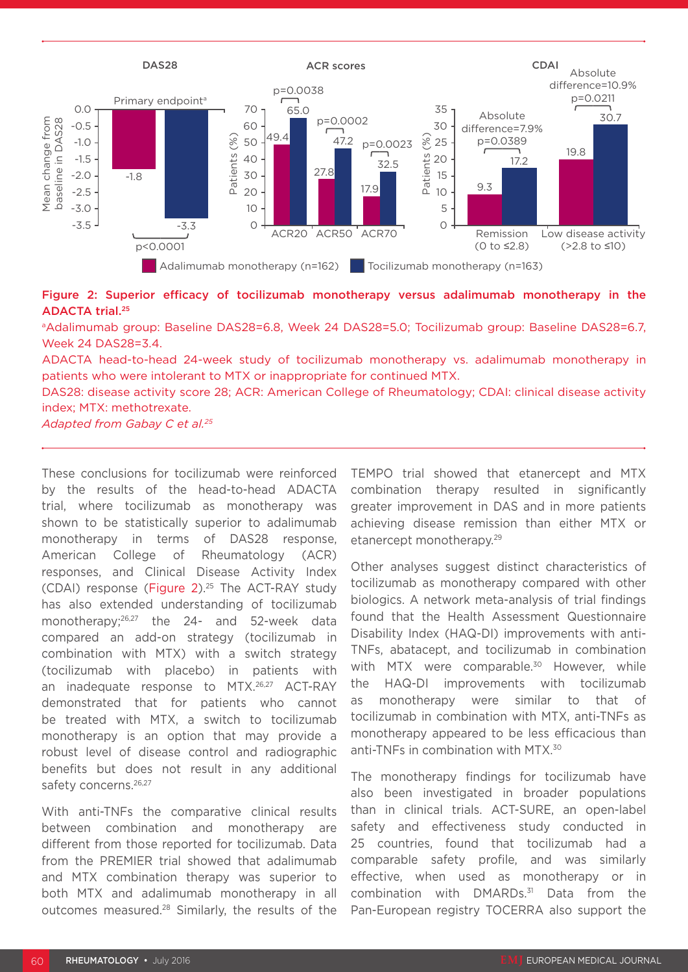

Figure 2: Superior efficacy of tocilizumab monotherapy versus adalimumab monotherapy in the ADACTA trial.25

<sup>a</sup>Adalimumab group: Baseline DAS28=6.8, Week 24 DAS28=5.0; Tocilizumab group: Baseline DAS28=6.7, Week 24 DAS28=3.4.

ADACTA head-to-head 24-week study of tocilizumab monotherapy vs. adalimumab monotherapy in patients who were intolerant to MTX or inappropriate for continued MTX.

DAS28: disease activity score 28; ACR: American College of Rheumatology; CDAI: clinical disease activity index; MTX: methotrexate.

*Adapted from Gabay C et al.25*

These conclusions for tocilizumab were reinforced by the results of the head-to-head ADACTA trial, where tocilizumab as monotherapy was shown to be statistically superior to adalimumab monotherapy in terms of DAS28 response, American College of Rheumatology (ACR) responses, and Clinical Disease Activity Index (CDAI) response (Figure 2).25 The ACT-RAY study has also extended understanding of tocilizumab monotherapy;26,27 the 24- and 52-week data compared an add-on strategy (tocilizumab in combination with MTX) with a switch strategy (tocilizumab with placebo) in patients with an inadequate response to MTX.26,27 ACT-RAY demonstrated that for patients who cannot be treated with MTX, a switch to tocilizumab monotherapy is an option that may provide a robust level of disease control and radiographic benefits but does not result in any additional safety concerns.<sup>26,27</sup>

With anti-TNFs the comparative clinical results between combination and monotherapy are different from those reported for tocilizumab. Data from the PREMIER trial showed that adalimumab and MTX combination therapy was superior to both MTX and adalimumab monotherapy in all outcomes measured.28 Similarly, the results of the TEMPO trial showed that etanercept and MTX combination therapy resulted in significantly greater improvement in DAS and in more patients achieving disease remission than either MTX or etanercept monotherapy.29

Other analyses suggest distinct characteristics of tocilizumab as monotherapy compared with other biologics. A network meta-analysis of trial findings found that the Health Assessment Questionnaire Disability Index (HAQ-DI) improvements with anti-TNFs, abatacept, and tocilizumab in combination with MTX were comparable.<sup>30</sup> However, while the HAQ-DI improvements with tocilizumab as monotherapy were similar to that of tocilizumab in combination with MTX, anti-TNFs as monotherapy appeared to be less efficacious than anti-TNFs in combination with MTX.30

The monotherapy findings for tocilizumab have also been investigated in broader populations than in clinical trials. ACT-SURE, an open-label safety and effectiveness study conducted in 25 countries, found that tocilizumab had a comparable safety profile, and was similarly effective, when used as monotherapy or in combination with DMARDs.<sup>31</sup> Data from the Pan-European registry TOCERRA also support the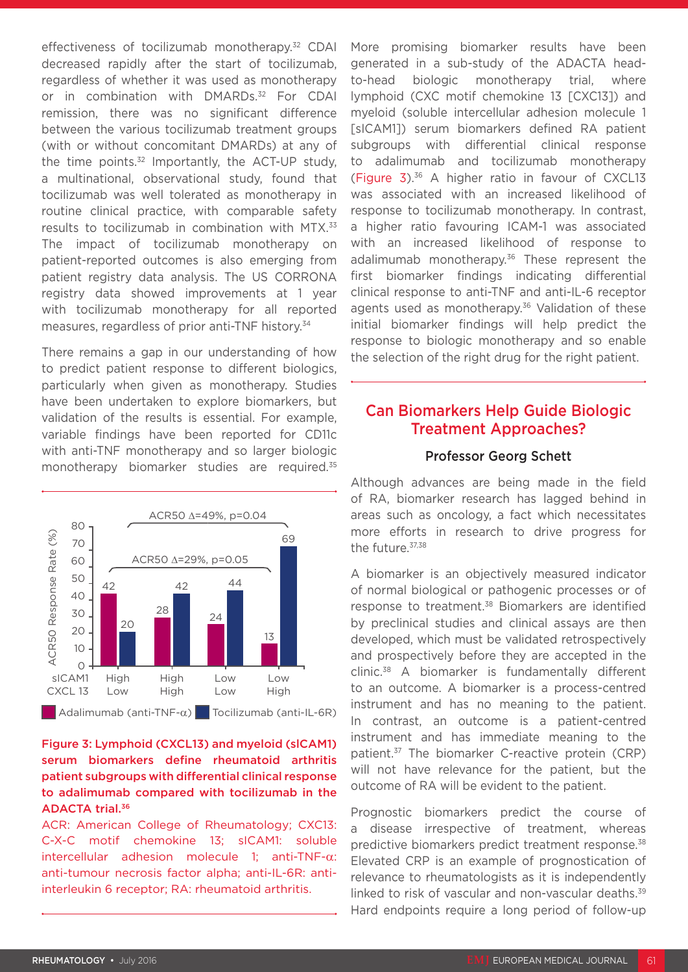effectiveness of tocilizumab monotherapy.<sup>32</sup> CDAI decreased rapidly after the start of tocilizumab, regardless of whether it was used as monotherapy or in combination with DMARDs.<sup>32</sup> For CDAI remission, there was no significant difference between the various tocilizumab treatment groups (with or without concomitant DMARDs) at any of the time points. $32$  Importantly, the ACT-UP study, a multinational, observational study, found that tocilizumab was well tolerated as monotherapy in routine clinical practice, with comparable safety results to tocilizumab in combination with MTX.<sup>33</sup> The impact of tocilizumab monotherapy on patient-reported outcomes is also emerging from patient registry data analysis. The US CORRONA registry data showed improvements at 1 year with tocilizumab monotherapy for all reported measures, regardless of prior anti-TNF history.34

There remains a gap in our understanding of how to predict patient response to different biologics, particularly when given as monotherapy. Studies have been undertaken to explore biomarkers, but validation of the results is essential. For example, variable findings have been reported for CD11c with anti-TNF monotherapy and so larger biologic monotherapy biomarker studies are required.35



### Figure 3: Lymphoid (CXCL13) and myeloid (slCAM1) serum biomarkers define rheumatoid arthritis patient subgroups with differential clinical response to adalimumab compared with tocilizumab in the ADACTA trial.36

ACR: American College of Rheumatology; CXC13: C-X-C motif chemokine 13; sICAM1: soluble intercellular adhesion molecule 1; anti-TNF-α: anti-tumour necrosis factor alpha; anti-IL-6R: antiinterleukin 6 receptor; RA: rheumatoid arthritis.

More promising biomarker results have been generated in a sub-study of the ADACTA headto-head biologic monotherapy trial, where lymphoid (CXC motif chemokine 13 [CXC13]) and myeloid (soluble intercellular adhesion molecule 1 [sICAM1]) serum biomarkers defined RA patient subgroups with differential clinical response to adalimumab and tocilizumab monotherapy (Figure  $3$ ).<sup>36</sup> A higher ratio in favour of CXCL13 was associated with an increased likelihood of response to tocilizumab monotherapy. In contrast, a higher ratio favouring ICAM-1 was associated with an increased likelihood of response to adalimumab monotherapy.<sup>36</sup> These represent the first biomarker findings indicating differential clinical response to anti-TNF and anti-IL-6 receptor agents used as monotherapy.<sup>36</sup> Validation of these initial biomarker findings will help predict the response to biologic monotherapy and so enable the selection of the right drug for the right patient.

### Can Biomarkers Help Guide Biologic Treatment Approaches?

#### Professor Georg Schett

Although advances are being made in the field of RA, biomarker research has lagged behind in areas such as oncology, a fact which necessitates more efforts in research to drive progress for the future. 37,38

A biomarker is an objectively measured indicator of normal biological or pathogenic processes or of response to treatment.<sup>38</sup> Biomarkers are identified by preclinical studies and clinical assays are then developed, which must be validated retrospectively and prospectively before they are accepted in the clinic.38 A biomarker is fundamentally different to an outcome. A biomarker is a process-centred instrument and has no meaning to the patient. In contrast, an outcome is a patient-centred instrument and has immediate meaning to the patient.37 The biomarker C-reactive protein (CRP) will not have relevance for the patient, but the outcome of RA will be evident to the patient.

Prognostic biomarkers predict the course of a disease irrespective of treatment, whereas predictive biomarkers predict treatment response.<sup>38</sup> Elevated CRP is an example of prognostication of relevance to rheumatologists as it is independently linked to risk of vascular and non-vascular deaths.<sup>39</sup> Hard endpoints require a long period of follow-up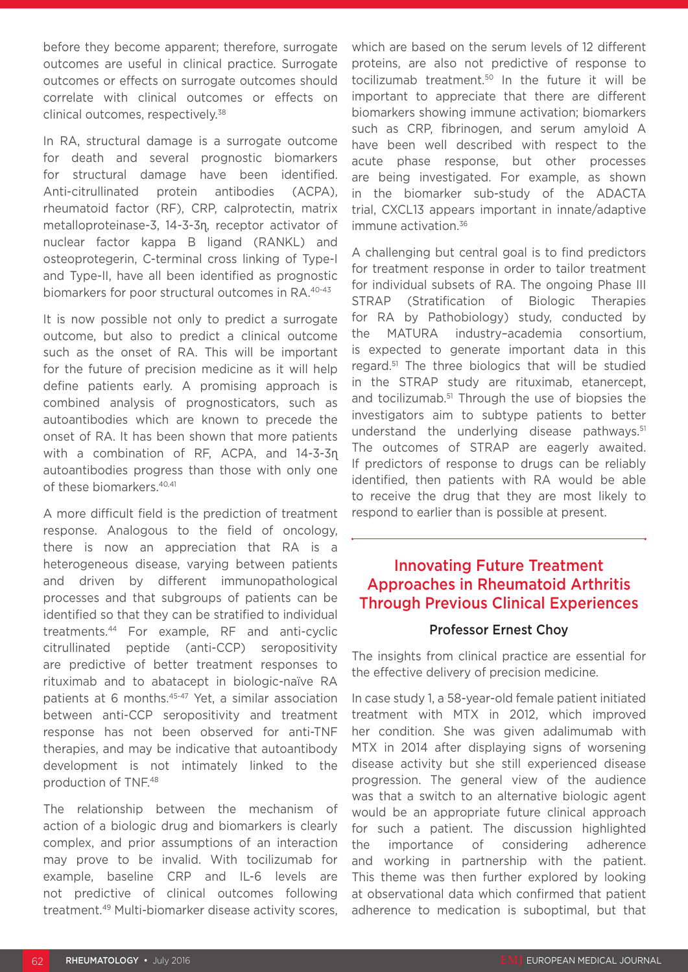before they become apparent; therefore, surrogate outcomes are useful in clinical practice. Surrogate outcomes or effects on surrogate outcomes should correlate with clinical outcomes or effects on clinical outcomes, respectively.38

In RA, structural damage is a surrogate outcome for death and several prognostic biomarkers for structural damage have been identified. Anti-citrullinated protein antibodies (ACPA), rheumatoid factor (RF), CRP, calprotectin, matrix metalloproteinase-3, 14-3-3ɳ, receptor activator of nuclear factor kappa B ligand (RANKL) and osteoprotegerin, C-terminal cross linking of Type-I and Type-II, have all been identified as prognostic biomarkers for poor structural outcomes in RA.40-43

It is now possible not only to predict a surrogate outcome, but also to predict a clinical outcome such as the onset of RA. This will be important for the future of precision medicine as it will help define patients early. A promising approach is combined analysis of prognosticators, such as autoantibodies which are known to precede the onset of RA. It has been shown that more patients with a combination of RF, ACPA, and 14-3-3n autoantibodies progress than those with only one of these biomarkers.<sup>40,41</sup>

A more difficult field is the prediction of treatment response. Analogous to the field of oncology, there is now an appreciation that RA is a heterogeneous disease, varying between patients and driven by different immunopathological processes and that subgroups of patients can be identified so that they can be stratified to individual treatments.44 For example, RF and anti-cyclic citrullinated peptide (anti-CCP) seropositivity are predictive of better treatment responses to rituximab and to abatacept in biologic-naïve RA patients at 6 months.<sup>45-47</sup> Yet, a similar association between anti-CCP seropositivity and treatment response has not been observed for anti-TNF therapies, and may be indicative that autoantibody development is not intimately linked to the production of TNF.48

The relationship between the mechanism of action of a biologic drug and biomarkers is clearly complex, and prior assumptions of an interaction may prove to be invalid. With tocilizumab for example, baseline CRP and IL-6 levels are not predictive of clinical outcomes following treatment.49 Multi-biomarker disease activity scores, which are based on the serum levels of 12 different proteins, are also not predictive of response to tocilizumab treatment.50 In the future it will be important to appreciate that there are different biomarkers showing immune activation; biomarkers such as CRP, fibrinogen, and serum amyloid A have been well described with respect to the acute phase response, but other processes are being investigated. For example, as shown in the biomarker sub-study of the ADACTA trial, CXCL13 appears important in innate/adaptive immune activation.<sup>36</sup>

A challenging but central goal is to find predictors for treatment response in order to tailor treatment for individual subsets of RA. The ongoing Phase III STRAP (Stratification of Biologic Therapies for RA by Pathobiology) study, conducted by the MATURA industry–academia consortium, is expected to generate important data in this regard.51 The three biologics that will be studied in the STRAP study are rituximab, etanercept, and tocilizumab.<sup>51</sup> Through the use of biopsies the investigators aim to subtype patients to better understand the underlying disease pathways.<sup>51</sup> The outcomes of STRAP are eagerly awaited. If predictors of response to drugs can be reliably identified, then patients with RA would be able to receive the drug that they are most likely to respond to earlier than is possible at present.

### Innovating Future Treatment Approaches in Rheumatoid Arthritis Through Previous Clinical Experiences

#### Professor Ernest Choy

The insights from clinical practice are essential for the effective delivery of precision medicine.

In case study 1, a 58-year-old female patient initiated treatment with MTX in 2012, which improved her condition. She was given adalimumab with MTX in 2014 after displaying signs of worsening disease activity but she still experienced disease progression. The general view of the audience was that a switch to an alternative biologic agent would be an appropriate future clinical approach for such a patient. The discussion highlighted the importance of considering adherence and working in partnership with the patient. This theme was then further explored by looking at observational data which confirmed that patient adherence to medication is suboptimal, but that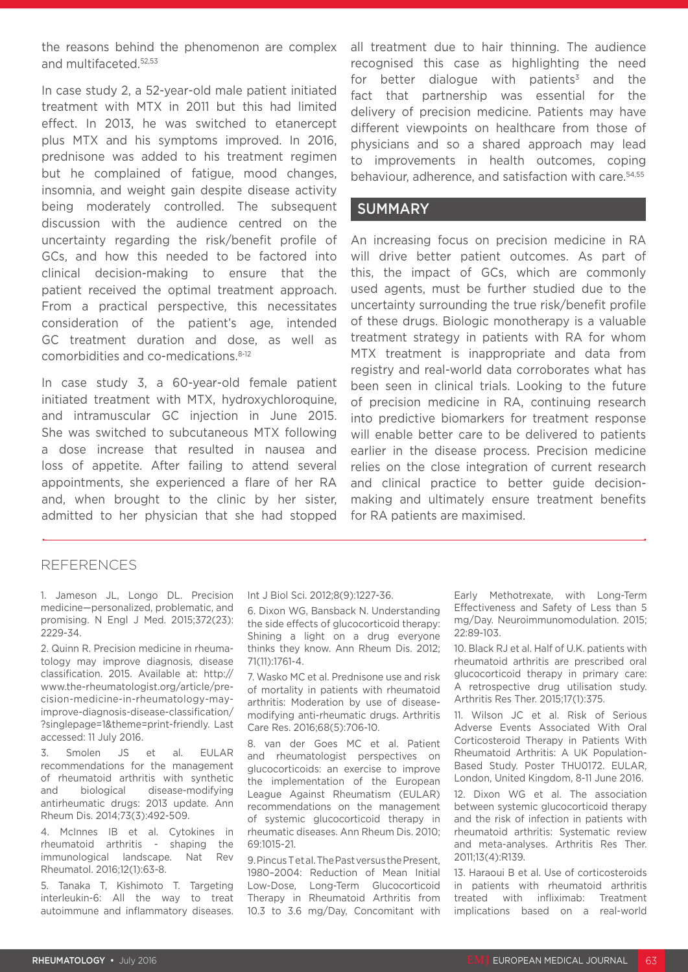the reasons behind the phenomenon are complex and multifaceted.52,53

In case study 2, a 52-year-old male patient initiated treatment with MTX in 2011 but this had limited effect. In 2013, he was switched to etanercept plus MTX and his symptoms improved. In 2016, prednisone was added to his treatment regimen but he complained of fatigue, mood changes, insomnia, and weight gain despite disease activity being moderately controlled. The subsequent discussion with the audience centred on the uncertainty regarding the risk/benefit profile of GCs, and how this needed to be factored into clinical decision-making to ensure that the patient received the optimal treatment approach. From a practical perspective, this necessitates consideration of the patient's age, intended GC treatment duration and dose, as well as comorbidities and co-medications.8-12

In case study 3, a 60-year-old female patient initiated treatment with MTX, hydroxychloroquine, and intramuscular GC injection in June 2015. She was switched to subcutaneous MTX following a dose increase that resulted in nausea and loss of appetite. After failing to attend several appointments, she experienced a flare of her RA and, when brought to the clinic by her sister, admitted to her physician that she had stopped

all treatment due to hair thinning. The audience recognised this case as highlighting the need for better dialogue with patients<sup>3</sup> and the fact that partnership was essential for the delivery of precision medicine. Patients may have different viewpoints on healthcare from those of physicians and so a shared approach may lead to improvements in health outcomes, coping behaviour, adherence, and satisfaction with care.54,55

### SUMMARY

An increasing focus on precision medicine in RA will drive better patient outcomes. As part of this, the impact of GCs, which are commonly used agents, must be further studied due to the uncertainty surrounding the true risk/benefit profile of these drugs. Biologic monotherapy is a valuable treatment strategy in patients with RA for whom MTX treatment is inappropriate and data from registry and real-world data corroborates what has been seen in clinical trials. Looking to the future of precision medicine in RA, continuing research into predictive biomarkers for treatment response will enable better care to be delivered to patients earlier in the disease process. Precision medicine relies on the close integration of current research and clinical practice to better guide decisionmaking and ultimately ensure treatment benefits for RA patients are maximised.

#### REFERENCES

1. Jameson JL, Longo DL. Precision medicine—personalized, problematic, and promising. N Engl J Med. 2015;372(23): 2229-34.

2. Quinn R. Precision medicine in rheumatology may improve diagnosis, disease classification. 2015. Available at: http:// www.the-rheumatologist.org/article/precision-medicine-in-rheumatology-mayimprove-diagnosis-disease-classification/ ?singlepage=1&theme=print-friendly. Last accessed: 11 July 2016.

3. Smolen JS et al. EULAR recommendations for the management of rheumatoid arthritis with synthetic and biological disease-modifying antirheumatic drugs: 2013 update. Ann Rheum Dis. 2014;73(3):492-509.

4. McInnes IB et al. Cytokines in rheumatoid arthritis - shaping the immunological landscape. Nat Rev Rheumatol. 2016;12(1):63-8.

5. Tanaka T, Kishimoto T. Targeting interleukin-6: All the way to treat autoimmune and inflammatory diseases. Int J Biol Sci. 2012;8(9):1227-36.

6. Dixon WG, Bansback N. Understanding the side effects of glucocorticoid therapy: Shining a light on a drug everyone thinks they know. Ann Rheum Dis. 2012; 71(11):1761-4.

7. Wasko MC et al. Prednisone use and risk of mortality in patients with rheumatoid arthritis: Moderation by use of diseasemodifying anti-rheumatic drugs. Arthritis Care Res. 2016;68(5):706-10.

8. van der Goes MC et al. Patient and rheumatologist perspectives on glucocorticoids: an exercise to improve the implementation of the European League Against Rheumatism (EULAR) recommendations on the management of systemic glucocorticoid therapy in rheumatic diseases. Ann Rheum Dis. 2010; 69:1015-21.

9. Pincus T et al. The Past versus the Present, 1980–2004: Reduction of Mean Initial Low-Dose, Long-Term Glucocorticoid Therapy in Rheumatoid Arthritis from 10.3 to 3.6 mg/Day, Concomitant with

Early Methotrexate, with Long-Term Effectiveness and Safety of Less than 5 mg/Day. Neuroimmunomodulation. 2015; 22:89-103.

10. Black RJ et al. Half of U.K. patients with rheumatoid arthritis are prescribed oral glucocorticoid therapy in primary care: A retrospective drug utilisation study. Arthritis Res Ther. 2015;17(1):375.

11. Wilson JC et al. Risk of Serious Adverse Events Associated With Oral Corticosteroid Therapy in Patients With Rheumatoid Arthritis: A UK Population-Based Study. Poster THU0172. EULAR, London, United Kingdom, 8-11 June 2016.

12. Dixon WG et al. The association between systemic glucocorticoid therapy and the risk of infection in patients with rheumatoid arthritis: Systematic review and meta-analyses. Arthritis Res Ther. 2011;13(4):R139.

13. Haraoui B et al. Use of corticosteroids in patients with rheumatoid arthritis treated with infliximab: Treatment implications based on a real-world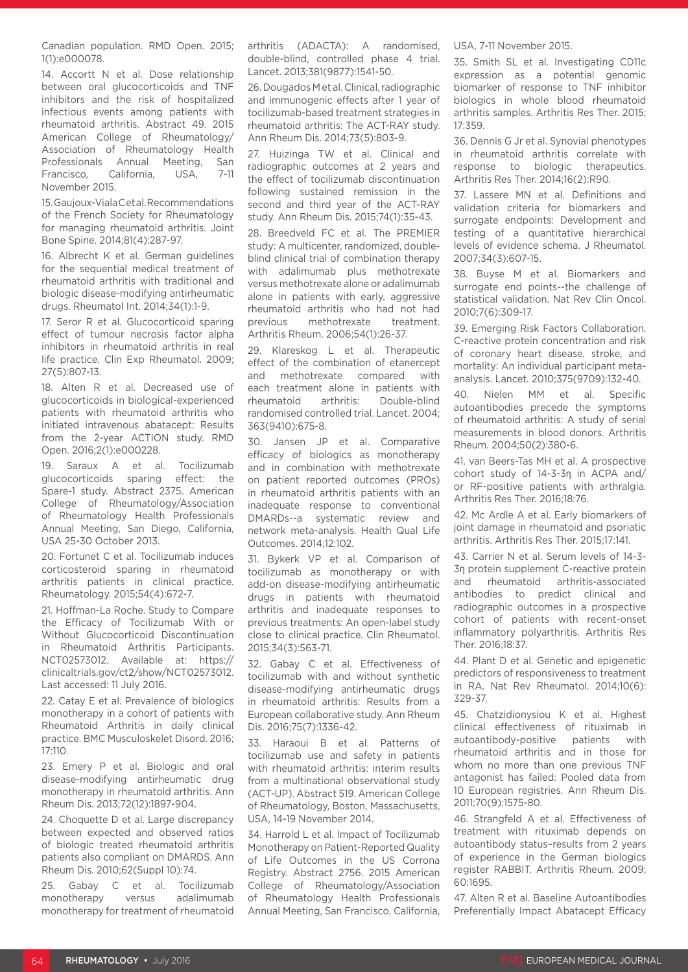Canadian population. RMD Open. 2015; 1(1):e000078.

14. Accortt N et al. Dose relationship between oral glucocorticoids and TNF inhibitors and the risk of hospitalized infectious events among patients with rheumatoid arthritis. Abstract 49. 2015 American College of Rheumatology/ Association of Rheumatology Health Professionals Annual Meeting, San Francisco, California, USA, 7-11 November 2015.

15. Gaujoux-Viala C et al. Recommendations of the French Society for Rheumatology for managing rheumatoid arthritis. Joint Bone Spine. 2014;81(4):287-97.

16. Albrecht K et al. German guidelines for the sequential medical treatment of rheumatoid arthritis with traditional and biologic disease-modifying antirheumatic drugs. Rheumatol Int. 2014;34(1):1-9.

17. Seror R et al. Glucocorticoid sparing effect of tumour necrosis factor alpha inhibitors in rheumatoid arthritis in real life practice. Clin Exp Rheumatol. 2009; 27(5):807-13.

18. Alten R et al. Decreased use of glucocorticoids in biological-experienced patients with rheumatoid arthritis who initiated intravenous abatacept: Results from the 2-year ACTION study. RMD Open. 2016;2(1):e000228.

19. Saraux A et al. Tocilizumab glucocorticoids sparing effect: the Spare-1 study. Abstract 2375. American College of Rheumatology/Association of Rheumatology Health Professionals Annual Meeting, San Diego, California, USA 25-30 October 2013.

20. Fortunet C et al. Tocilizumab induces corticosteroid sparing in rheumatoid arthritis patients in clinical practice. Rheumatology. 2015;54(4):672-7.

21. Hoffman-La Roche. Study to Compare the Efficacy of Tocilizumab With or Without Glucocorticoid Discontinuation in Rheumatoid Arthritis Participants. NCT02573012. Available at: https:// clinicaltrials.gov/ct2/show/NCT02573012. Last accessed: 11 July 2016.

22. Catay E et al. Prevalence of biologics monotherapy in a cohort of patients with Rheumatoid Arthritis in daily clinical practice. BMC Musculoskelet Disord. 2016; 17:110.

23. Emery P et al. Biologic and oral disease-modifying antirheumatic drug monotherapy in rheumatoid arthritis. Ann Rheum Dis. 2013;72(12):1897-904.

24. Choquette D et al. Large discrepancy between expected and observed ratios of biologic treated rheumatoid arthritis patients also compliant on DMARDS. Ann Rheum Dis. 2010;62(Suppl 10):74.

25. Gabay C et al. Tocilizumab monotherapy versus adalimumab monotherapy for treatment of rheumatoid arthritis (ADACTA): A randomised, double-blind, controlled phase 4 trial. Lancet. 2013;381(9877):1541-50.

26. Dougados M et al. Clinical, radiographic and immunogenic effects after 1 year of tocilizumab-based treatment strategies in rheumatoid arthritis: The ACT-RAY study. Ann Rheum Dis. 2014;73(5):803-9.

27. Huizinga TW et al. Clinical and radiographic outcomes at 2 years and the effect of tocilizumab discontinuation following sustained remission in the second and third year of the ACT-RAY study. Ann Rheum Dis. 2015;74(1):35-43.

28. Breedveld FC et al. The PREMIER study: A multicenter, randomized, doubleblind clinical trial of combination therapy with adalimumab plus methotrexate versus methotrexate alone or adalimumab alone in patients with early, aggressive rheumatoid arthritis who had not had previous methotrexate treatment. Arthritis Rheum. 2006;54(1):26-37.

29. Klareskog L et al. Therapeutic effect of the combination of etanercept and methotrexate compared with each treatment alone in patients with rheumatoid arthritis: Double-blind randomised controlled trial. Lancet. 2004; 363(9410):675-8.

30. Jansen JP et al. Comparative efficacy of biologics as monotherapy and in combination with methotrexate on patient reported outcomes (PROs) in rheumatoid arthritis patients with an inadequate response to conventional DMARDs--a systematic review and network meta-analysis. Health Qual Life Outcomes. 2014;12:102.

31. Bykerk VP et al. Comparison of tocilizumab as monotherapy or with add-on disease-modifying antirheumatic drugs in patients with rheumatoid arthritis and inadequate responses to previous treatments: An open-label study close to clinical practice. Clin Rheumatol. 2015;34(3):563-71.

32. Gabay C et al. Effectiveness of tocilizumab with and without synthetic disease-modifying antirheumatic drugs in rheumatoid arthritis: Results from a European collaborative study. Ann Rheum Dis. 2016;75(7):1336-42.

33. Haraoui B et al. Patterns of tocilizumab use and safety in patients with rheumatoid arthritis: interim results from a multinational observational study (ACT-UP). Abstract 519. American College of Rheumatology, Boston, Massachusetts, USA, 14-19 November 2014.

34. Harrold L et al. Impact of Tocilizumab Monotherapy on Patient-Reported Quality of Life Outcomes in the US Corrona Registry. Abstract 2756. 2015 American College of Rheumatology/Association of Rheumatology Health Professionals Annual Meeting, San Francisco, California, USA, 7-11 November 2015.

35. Smith SL et al. Investigating CD11c expression as a potential genomic biomarker of response to TNF inhibitor biologics in whole blood rheumatoid arthritis samples. Arthritis Res Ther. 2015; 17:359.

36. Dennis G Jr et al. Synovial phenotypes in rheumatoid arthritis correlate with response to biologic therapeutics. Arthritis Res Ther. 2014;16(2):R90.

37. Lassere MN et al. Definitions and validation criteria for biomarkers and surrogate endpoints: Development and testing of a quantitative hierarchical levels of evidence schema. J Rheumatol. 2007;34(3):607-15.

38. Buyse M et al. Biomarkers and surrogate end points--the challenge of statistical validation. Nat Rev Clin Oncol. 2010;7(6):309-17.

39. Emerging Risk Factors Collaboration. C-reactive protein concentration and risk of coronary heart disease, stroke, and mortality: An individual participant metaanalysis. Lancet. 2010;375(9709):132-40.

40. Nielen MM et al. Specific autoantibodies precede the symptoms of rheumatoid arthritis: A study of serial measurements in blood donors. Arthritis Rheum. 2004;50(2):380-6.

41. van Beers-Tas MH et al. A prospective cohort study of 14-3-3η in ACPA and/ or RF-positive patients with arthralgia. Arthritis Res Ther. 2016;18:76.

42. Mc Ardle A et al. Early biomarkers of joint damage in rheumatoid and psoriatic arthritis. Arthritis Res Ther. 2015;17:141.

43. Carrier N et al. Serum levels of 14-3- 3η protein supplement C-reactive protein and rheumatoid arthritis-associated antibodies to predict clinical and radiographic outcomes in a prospective cohort of patients with recent-onset inflammatory polyarthritis. Arthritis Res Ther. 2016;18:37.

44. Plant D et al. Genetic and epigenetic predictors of responsiveness to treatment in RA. Nat Rev Rheumatol. 2014;10(6): 329-37.

45. Chatzidionysiou K et al. Highest clinical effectiveness of rituximab in autoantibody-positive patients with rheumatoid arthritis and in those for whom no more than one previous TNF antagonist has failed: Pooled data from 10 European registries. Ann Rheum Dis. 2011;70(9):1575-80.

46. Strangfeld A et al. Effectiveness of treatment with rituximab depends on autoantibody status–results from 2 years of experience in the German biologics register RABBIT. Arthritis Rheum. 2009; 60:1695.

47. Alten R et al. Baseline Autoantibodies Preferentially Impact Abatacept Efficacy